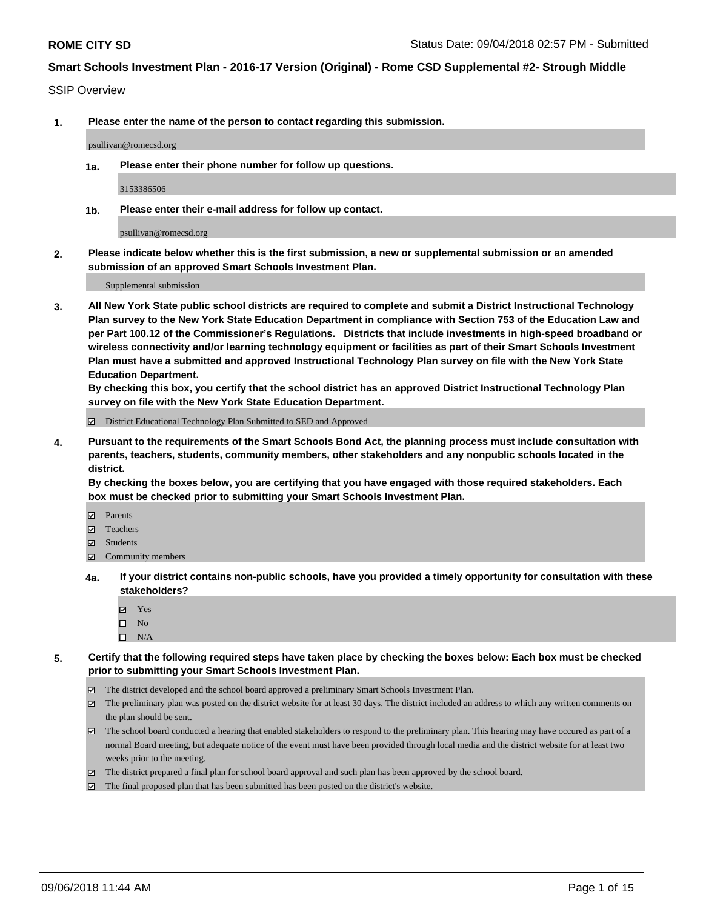SSIP Overview

**1. Please enter the name of the person to contact regarding this submission.**

psullivan@romecsd.org

**1a. Please enter their phone number for follow up questions.**

3153386506

**1b. Please enter their e-mail address for follow up contact.**

psullivan@romecsd.org

**2. Please indicate below whether this is the first submission, a new or supplemental submission or an amended submission of an approved Smart Schools Investment Plan.**

Supplemental submission

**3. All New York State public school districts are required to complete and submit a District Instructional Technology Plan survey to the New York State Education Department in compliance with Section 753 of the Education Law and per Part 100.12 of the Commissioner's Regulations. Districts that include investments in high-speed broadband or wireless connectivity and/or learning technology equipment or facilities as part of their Smart Schools Investment Plan must have a submitted and approved Instructional Technology Plan survey on file with the New York State Education Department.** 

**By checking this box, you certify that the school district has an approved District Instructional Technology Plan survey on file with the New York State Education Department.**

District Educational Technology Plan Submitted to SED and Approved

**4. Pursuant to the requirements of the Smart Schools Bond Act, the planning process must include consultation with parents, teachers, students, community members, other stakeholders and any nonpublic schools located in the district.** 

**By checking the boxes below, you are certifying that you have engaged with those required stakeholders. Each box must be checked prior to submitting your Smart Schools Investment Plan.**

- **Parents**
- Teachers
- **☑** Students
- **☑** Community members
- **4a. If your district contains non-public schools, have you provided a timely opportunity for consultation with these stakeholders?**
	- **Ø** Yes
	- $\square$  No
	- $\square$  N/A
- **5. Certify that the following required steps have taken place by checking the boxes below: Each box must be checked prior to submitting your Smart Schools Investment Plan.**
	- The district developed and the school board approved a preliminary Smart Schools Investment Plan.
	- $\boxtimes$  The preliminary plan was posted on the district website for at least 30 days. The district included an address to which any written comments on the plan should be sent.
	- The school board conducted a hearing that enabled stakeholders to respond to the preliminary plan. This hearing may have occured as part of a normal Board meeting, but adequate notice of the event must have been provided through local media and the district website for at least two weeks prior to the meeting.
	- The district prepared a final plan for school board approval and such plan has been approved by the school board.
	- The final proposed plan that has been submitted has been posted on the district's website.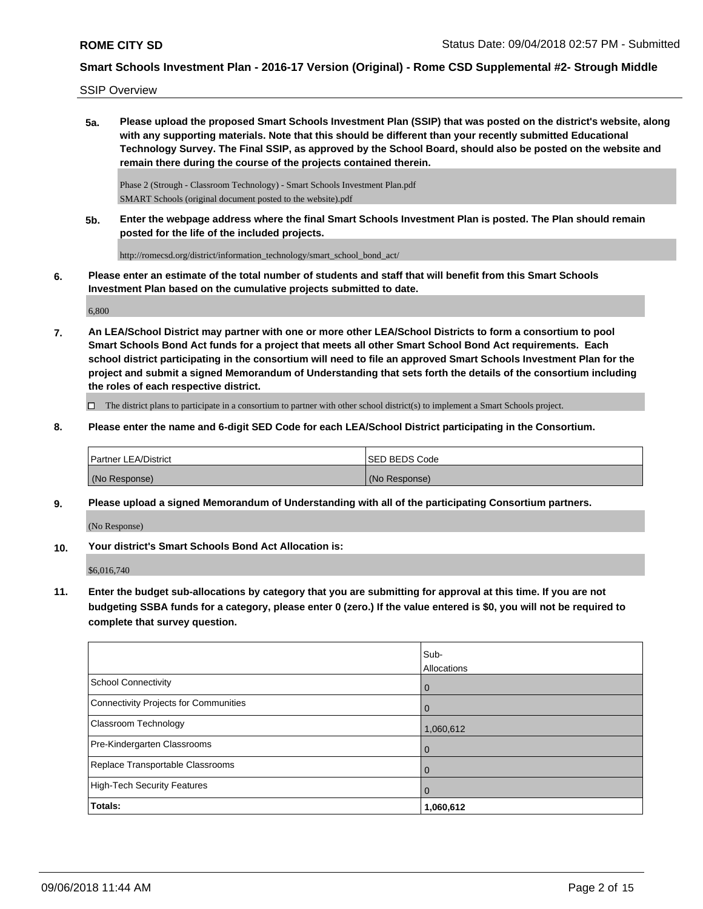SSIP Overview

**5a. Please upload the proposed Smart Schools Investment Plan (SSIP) that was posted on the district's website, along with any supporting materials. Note that this should be different than your recently submitted Educational Technology Survey. The Final SSIP, as approved by the School Board, should also be posted on the website and remain there during the course of the projects contained therein.**

Phase 2 (Strough - Classroom Technology) - Smart Schools Investment Plan.pdf SMART Schools (original document posted to the website).pdf

**5b. Enter the webpage address where the final Smart Schools Investment Plan is posted. The Plan should remain posted for the life of the included projects.**

http://romecsd.org/district/information\_technology/smart\_school\_bond\_act/

**6. Please enter an estimate of the total number of students and staff that will benefit from this Smart Schools Investment Plan based on the cumulative projects submitted to date.**

6,800

**7. An LEA/School District may partner with one or more other LEA/School Districts to form a consortium to pool Smart Schools Bond Act funds for a project that meets all other Smart School Bond Act requirements. Each school district participating in the consortium will need to file an approved Smart Schools Investment Plan for the project and submit a signed Memorandum of Understanding that sets forth the details of the consortium including the roles of each respective district.**

 $\Box$  The district plans to participate in a consortium to partner with other school district(s) to implement a Smart Schools project.

**8. Please enter the name and 6-digit SED Code for each LEA/School District participating in the Consortium.**

| <b>Partner LEA/District</b> | ISED BEDS Code |
|-----------------------------|----------------|
| (No Response)               | (No Response)  |

**9. Please upload a signed Memorandum of Understanding with all of the participating Consortium partners.**

(No Response)

**10. Your district's Smart Schools Bond Act Allocation is:**

\$6,016,740

**11. Enter the budget sub-allocations by category that you are submitting for approval at this time. If you are not budgeting SSBA funds for a category, please enter 0 (zero.) If the value entered is \$0, you will not be required to complete that survey question.**

|                                              | Sub-<br>Allocations |
|----------------------------------------------|---------------------|
| <b>School Connectivity</b>                   | 0                   |
| <b>Connectivity Projects for Communities</b> | $\overline{0}$      |
| Classroom Technology                         | 1,060,612           |
| Pre-Kindergarten Classrooms                  | 0                   |
| Replace Transportable Classrooms             | $\mathbf 0$         |
| <b>High-Tech Security Features</b>           | $\mathbf 0$         |
| Totals:                                      | 1,060,612           |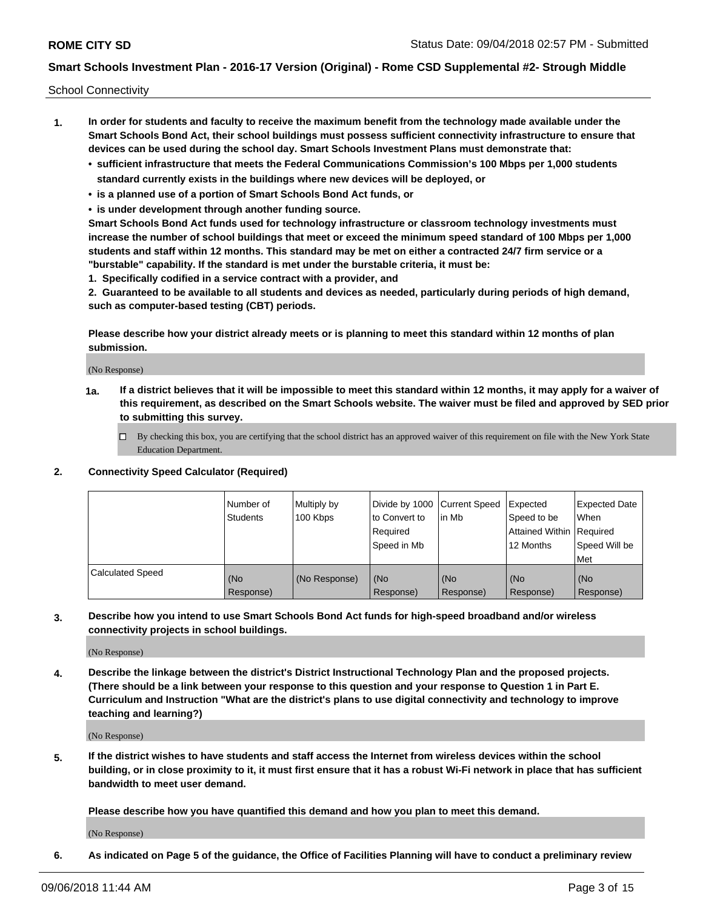School Connectivity

- **1. In order for students and faculty to receive the maximum benefit from the technology made available under the Smart Schools Bond Act, their school buildings must possess sufficient connectivity infrastructure to ensure that devices can be used during the school day. Smart Schools Investment Plans must demonstrate that:**
	- **• sufficient infrastructure that meets the Federal Communications Commission's 100 Mbps per 1,000 students standard currently exists in the buildings where new devices will be deployed, or**
	- **• is a planned use of a portion of Smart Schools Bond Act funds, or**
	- **• is under development through another funding source.**

**Smart Schools Bond Act funds used for technology infrastructure or classroom technology investments must increase the number of school buildings that meet or exceed the minimum speed standard of 100 Mbps per 1,000 students and staff within 12 months. This standard may be met on either a contracted 24/7 firm service or a "burstable" capability. If the standard is met under the burstable criteria, it must be:**

**1. Specifically codified in a service contract with a provider, and**

**2. Guaranteed to be available to all students and devices as needed, particularly during periods of high demand, such as computer-based testing (CBT) periods.**

**Please describe how your district already meets or is planning to meet this standard within 12 months of plan submission.**

(No Response)

**1a. If a district believes that it will be impossible to meet this standard within 12 months, it may apply for a waiver of this requirement, as described on the Smart Schools website. The waiver must be filed and approved by SED prior to submitting this survey.**

 $\Box$  By checking this box, you are certifying that the school district has an approved waiver of this requirement on file with the New York State Education Department.

#### **2. Connectivity Speed Calculator (Required)**

|                         | l Number of<br><b>Students</b> | Multiply by<br>100 Kbps | Divide by 1000 Current Speed<br>to Convert to<br>Required<br>l Speed in Mb | lin Mb           | Expected<br>Speed to be<br>Attained Within   Required<br>12 Months | <b>Expected Date</b><br>When<br>Speed Will be<br>Met |
|-------------------------|--------------------------------|-------------------------|----------------------------------------------------------------------------|------------------|--------------------------------------------------------------------|------------------------------------------------------|
| <b>Calculated Speed</b> | (No<br>Response)               | (No Response)           | (No<br>Response)                                                           | (No<br>Response) | (No<br>Response)                                                   | (No<br>Response)                                     |

**3. Describe how you intend to use Smart Schools Bond Act funds for high-speed broadband and/or wireless connectivity projects in school buildings.**

(No Response)

**4. Describe the linkage between the district's District Instructional Technology Plan and the proposed projects. (There should be a link between your response to this question and your response to Question 1 in Part E. Curriculum and Instruction "What are the district's plans to use digital connectivity and technology to improve teaching and learning?)**

(No Response)

**5. If the district wishes to have students and staff access the Internet from wireless devices within the school building, or in close proximity to it, it must first ensure that it has a robust Wi-Fi network in place that has sufficient bandwidth to meet user demand.**

**Please describe how you have quantified this demand and how you plan to meet this demand.**

(No Response)

**6. As indicated on Page 5 of the guidance, the Office of Facilities Planning will have to conduct a preliminary review**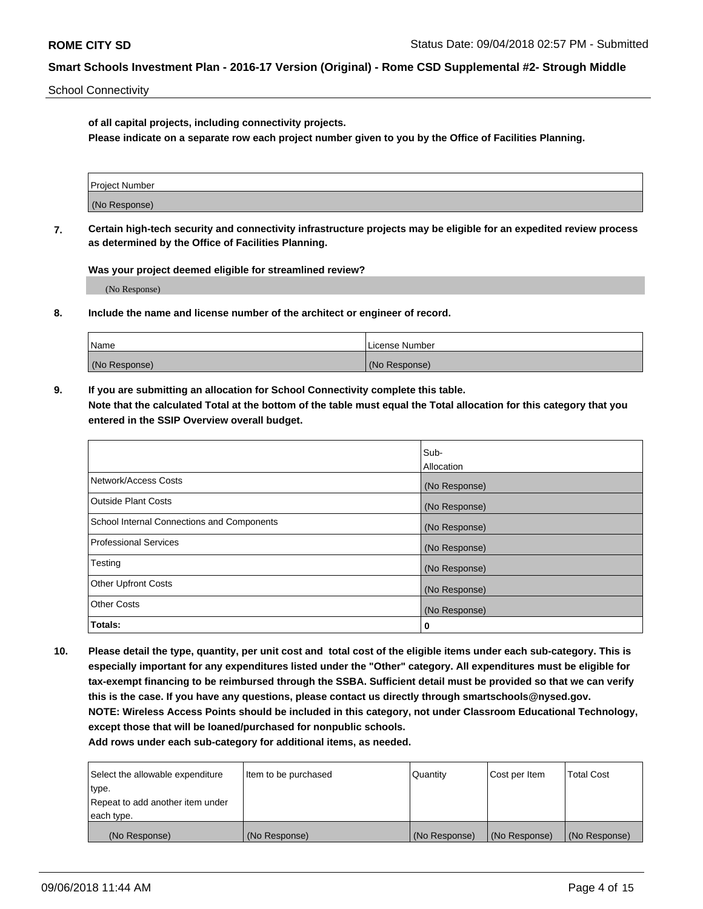School Connectivity

**of all capital projects, including connectivity projects.**

**Please indicate on a separate row each project number given to you by the Office of Facilities Planning.**

| Project Number |  |
|----------------|--|
|                |  |
| (No Response)  |  |
|                |  |

**7. Certain high-tech security and connectivity infrastructure projects may be eligible for an expedited review process as determined by the Office of Facilities Planning.**

**Was your project deemed eligible for streamlined review?**

(No Response)

**8. Include the name and license number of the architect or engineer of record.**

| Name          | License Number |
|---------------|----------------|
| (No Response) | (No Response)  |

**9. If you are submitting an allocation for School Connectivity complete this table. Note that the calculated Total at the bottom of the table must equal the Total allocation for this category that you entered in the SSIP Overview overall budget.** 

|                                            | Sub-          |
|--------------------------------------------|---------------|
|                                            | Allocation    |
| Network/Access Costs                       | (No Response) |
| Outside Plant Costs                        | (No Response) |
| School Internal Connections and Components | (No Response) |
| <b>Professional Services</b>               | (No Response) |
| Testing                                    | (No Response) |
| <b>Other Upfront Costs</b>                 | (No Response) |
| <b>Other Costs</b>                         | (No Response) |
| Totals:                                    | 0             |

**10. Please detail the type, quantity, per unit cost and total cost of the eligible items under each sub-category. This is especially important for any expenditures listed under the "Other" category. All expenditures must be eligible for tax-exempt financing to be reimbursed through the SSBA. Sufficient detail must be provided so that we can verify this is the case. If you have any questions, please contact us directly through smartschools@nysed.gov. NOTE: Wireless Access Points should be included in this category, not under Classroom Educational Technology, except those that will be loaned/purchased for nonpublic schools.**

| Select the allowable expenditure | Item to be purchased | Quantity      | Cost per Item | <b>Total Cost</b> |
|----------------------------------|----------------------|---------------|---------------|-------------------|
| type.                            |                      |               |               |                   |
| Repeat to add another item under |                      |               |               |                   |
| each type.                       |                      |               |               |                   |
| (No Response)                    | (No Response)        | (No Response) | (No Response) | (No Response)     |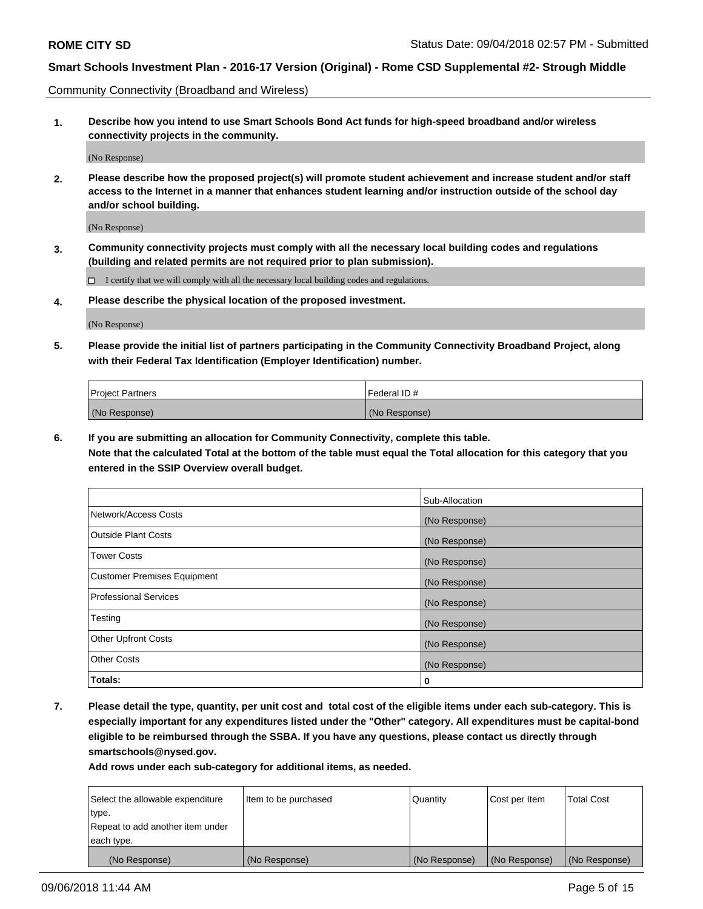Community Connectivity (Broadband and Wireless)

**1. Describe how you intend to use Smart Schools Bond Act funds for high-speed broadband and/or wireless connectivity projects in the community.**

(No Response)

**2. Please describe how the proposed project(s) will promote student achievement and increase student and/or staff access to the Internet in a manner that enhances student learning and/or instruction outside of the school day and/or school building.**

(No Response)

**3. Community connectivity projects must comply with all the necessary local building codes and regulations (building and related permits are not required prior to plan submission).**

 $\Box$  I certify that we will comply with all the necessary local building codes and regulations.

**4. Please describe the physical location of the proposed investment.**

(No Response)

**5. Please provide the initial list of partners participating in the Community Connectivity Broadband Project, along with their Federal Tax Identification (Employer Identification) number.**

| <b>Project Partners</b> | Federal ID#   |
|-------------------------|---------------|
| (No Response)           | (No Response) |

**6. If you are submitting an allocation for Community Connectivity, complete this table.**

**Note that the calculated Total at the bottom of the table must equal the Total allocation for this category that you entered in the SSIP Overview overall budget.**

|                                    | Sub-Allocation |
|------------------------------------|----------------|
| Network/Access Costs               | (No Response)  |
| <b>Outside Plant Costs</b>         | (No Response)  |
| <b>Tower Costs</b>                 | (No Response)  |
| <b>Customer Premises Equipment</b> | (No Response)  |
| <b>Professional Services</b>       | (No Response)  |
| Testing                            | (No Response)  |
| <b>Other Upfront Costs</b>         | (No Response)  |
| <b>Other Costs</b>                 | (No Response)  |
| Totals:                            | 0              |

**7. Please detail the type, quantity, per unit cost and total cost of the eligible items under each sub-category. This is especially important for any expenditures listed under the "Other" category. All expenditures must be capital-bond eligible to be reimbursed through the SSBA. If you have any questions, please contact us directly through smartschools@nysed.gov.**

| Select the allowable expenditure | Item to be purchased | Quantity      | Cost per Item | <b>Total Cost</b> |
|----------------------------------|----------------------|---------------|---------------|-------------------|
| type.                            |                      |               |               |                   |
| Repeat to add another item under |                      |               |               |                   |
| each type.                       |                      |               |               |                   |
| (No Response)                    | (No Response)        | (No Response) | (No Response) | (No Response)     |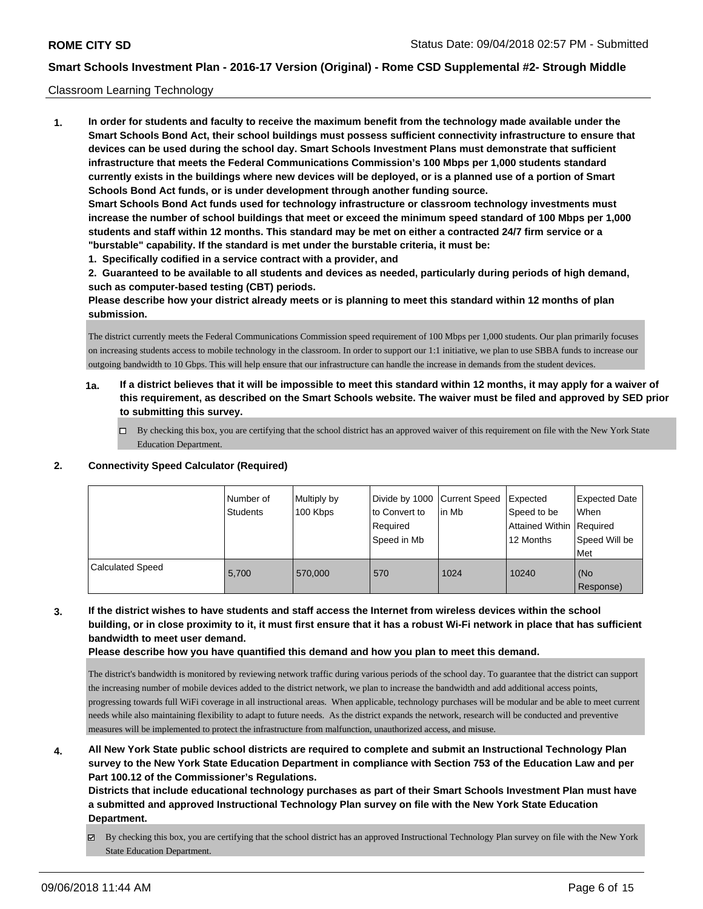#### Classroom Learning Technology

**1. In order for students and faculty to receive the maximum benefit from the technology made available under the Smart Schools Bond Act, their school buildings must possess sufficient connectivity infrastructure to ensure that devices can be used during the school day. Smart Schools Investment Plans must demonstrate that sufficient infrastructure that meets the Federal Communications Commission's 100 Mbps per 1,000 students standard currently exists in the buildings where new devices will be deployed, or is a planned use of a portion of Smart Schools Bond Act funds, or is under development through another funding source. Smart Schools Bond Act funds used for technology infrastructure or classroom technology investments must increase the number of school buildings that meet or exceed the minimum speed standard of 100 Mbps per 1,000 students and staff within 12 months. This standard may be met on either a contracted 24/7 firm service or a "burstable" capability. If the standard is met under the burstable criteria, it must be:**

**1. Specifically codified in a service contract with a provider, and**

**2. Guaranteed to be available to all students and devices as needed, particularly during periods of high demand, such as computer-based testing (CBT) periods.**

**Please describe how your district already meets or is planning to meet this standard within 12 months of plan submission.**

The district currently meets the Federal Communications Commission speed requirement of 100 Mbps per 1,000 students. Our plan primarily focuses on increasing students access to mobile technology in the classroom. In order to support our 1:1 initiative, we plan to use SBBA funds to increase our outgoing bandwidth to 10 Gbps. This will help ensure that our infrastructure can handle the increase in demands from the student devices.

- **1a. If a district believes that it will be impossible to meet this standard within 12 months, it may apply for a waiver of this requirement, as described on the Smart Schools website. The waiver must be filed and approved by SED prior to submitting this survey.**
	- By checking this box, you are certifying that the school district has an approved waiver of this requirement on file with the New York State Education Department.

#### **2. Connectivity Speed Calculator (Required)**

|                  | Number of<br><b>Students</b> | Multiply by<br>100 Kbps | Divide by 1000 Current Speed<br>to Convert to<br>Required<br>Speed in Mb | lin Mb | Expected<br>Speed to be<br>Attained Within Required<br>12 Months | <b>Expected Date</b><br>When<br>Speed Will be<br><b>Met</b> |
|------------------|------------------------------|-------------------------|--------------------------------------------------------------------------|--------|------------------------------------------------------------------|-------------------------------------------------------------|
| Calculated Speed | 5.700                        | 570,000                 | 570                                                                      | 1024   | 10240                                                            | (No<br>Response)                                            |

**3. If the district wishes to have students and staff access the Internet from wireless devices within the school building, or in close proximity to it, it must first ensure that it has a robust Wi-Fi network in place that has sufficient bandwidth to meet user demand.**

**Please describe how you have quantified this demand and how you plan to meet this demand.**

The district's bandwidth is monitored by reviewing network traffic during various periods of the school day. To guarantee that the district can support the increasing number of mobile devices added to the district network, we plan to increase the bandwidth and add additional access points, progressing towards full WiFi coverage in all instructional areas. When applicable, technology purchases will be modular and be able to meet current needs while also maintaining flexibility to adapt to future needs. As the district expands the network, research will be conducted and preventive measures will be implemented to protect the infrastructure from malfunction, unauthorized access, and misuse.

**4. All New York State public school districts are required to complete and submit an Instructional Technology Plan survey to the New York State Education Department in compliance with Section 753 of the Education Law and per Part 100.12 of the Commissioner's Regulations.**

**Districts that include educational technology purchases as part of their Smart Schools Investment Plan must have a submitted and approved Instructional Technology Plan survey on file with the New York State Education Department.**

By checking this box, you are certifying that the school district has an approved Instructional Technology Plan survey on file with the New York State Education Department.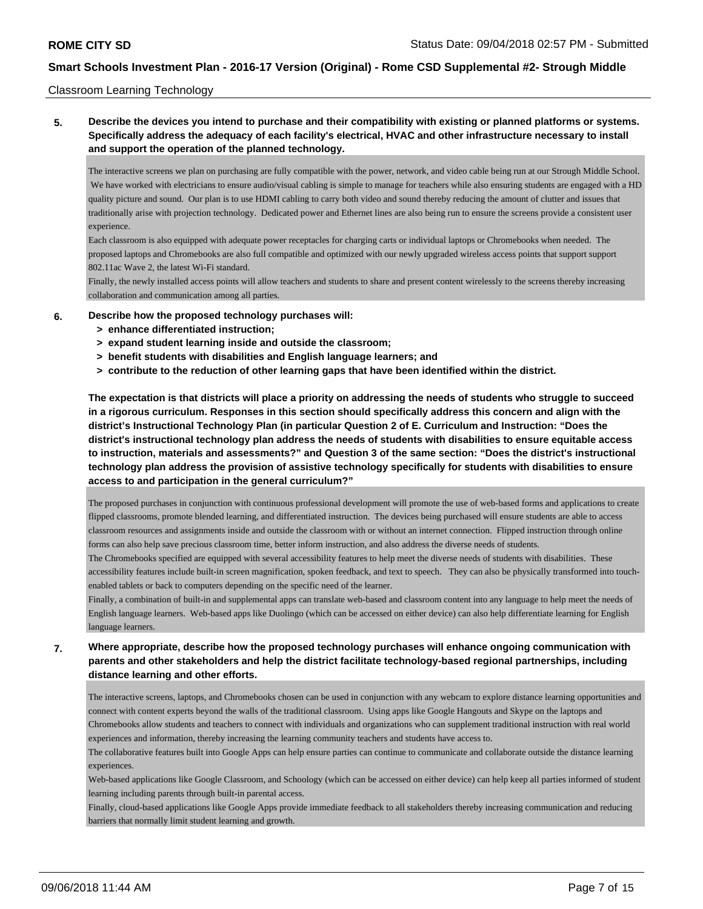#### Classroom Learning Technology

# **5. Describe the devices you intend to purchase and their compatibility with existing or planned platforms or systems. Specifically address the adequacy of each facility's electrical, HVAC and other infrastructure necessary to install and support the operation of the planned technology.**

The interactive screens we plan on purchasing are fully compatible with the power, network, and video cable being run at our Strough Middle School. We have worked with electricians to ensure audio/visual cabling is simple to manage for teachers while also ensuring students are engaged with a HD quality picture and sound. Our plan is to use HDMI cabling to carry both video and sound thereby reducing the amount of clutter and issues that traditionally arise with projection technology. Dedicated power and Ethernet lines are also being run to ensure the screens provide a consistent user experience.

Each classroom is also equipped with adequate power receptacles for charging carts or individual laptops or Chromebooks when needed. The proposed laptops and Chromebooks are also full compatible and optimized with our newly upgraded wireless access points that support support 802.11ac Wave 2, the latest Wi-Fi standard.

Finally, the newly installed access points will allow teachers and students to share and present content wirelessly to the screens thereby increasing collaboration and communication among all parties.

#### **6. Describe how the proposed technology purchases will:**

- **> enhance differentiated instruction;**
- **> expand student learning inside and outside the classroom;**
- **> benefit students with disabilities and English language learners; and**
- **> contribute to the reduction of other learning gaps that have been identified within the district.**

**The expectation is that districts will place a priority on addressing the needs of students who struggle to succeed in a rigorous curriculum. Responses in this section should specifically address this concern and align with the district's Instructional Technology Plan (in particular Question 2 of E. Curriculum and Instruction: "Does the district's instructional technology plan address the needs of students with disabilities to ensure equitable access to instruction, materials and assessments?" and Question 3 of the same section: "Does the district's instructional technology plan address the provision of assistive technology specifically for students with disabilities to ensure access to and participation in the general curriculum?"**

The proposed purchases in conjunction with continuous professional development will promote the use of web-based forms and applications to create flipped classrooms, promote blended learning, and differentiated instruction. The devices being purchased will ensure students are able to access classroom resources and assignments inside and outside the classroom with or without an internet connection. Flipped instruction through online forms can also help save precious classroom time, better inform instruction, and also address the diverse needs of students.

The Chromebooks specified are equipped with several accessibility features to help meet the diverse needs of students with disabilities. These accessibility features include built-in screen magnification, spoken feedback, and text to speech. They can also be physically transformed into touchenabled tablets or back to computers depending on the specific need of the learner.

Finally, a combination of built-in and supplemental apps can translate web-based and classroom content into any language to help meet the needs of English language learners. Web-based apps like Duolingo (which can be accessed on either device) can also help differentiate learning for English language learners.

# **7. Where appropriate, describe how the proposed technology purchases will enhance ongoing communication with parents and other stakeholders and help the district facilitate technology-based regional partnerships, including distance learning and other efforts.**

The interactive screens, laptops, and Chromebooks chosen can be used in conjunction with any webcam to explore distance learning opportunities and connect with content experts beyond the walls of the traditional classroom. Using apps like Google Hangouts and Skype on the laptops and Chromebooks allow students and teachers to connect with individuals and organizations who can supplement traditional instruction with real world experiences and information, thereby increasing the learning community teachers and students have access to.

The collaborative features built into Google Apps can help ensure parties can continue to communicate and collaborate outside the distance learning experiences.

Web-based applications like Google Classroom, and Schoology (which can be accessed on either device) can help keep all parties informed of student learning including parents through built-in parental access.

Finally, cloud-based applications like Google Apps provide immediate feedback to all stakeholders thereby increasing communication and reducing barriers that normally limit student learning and growth.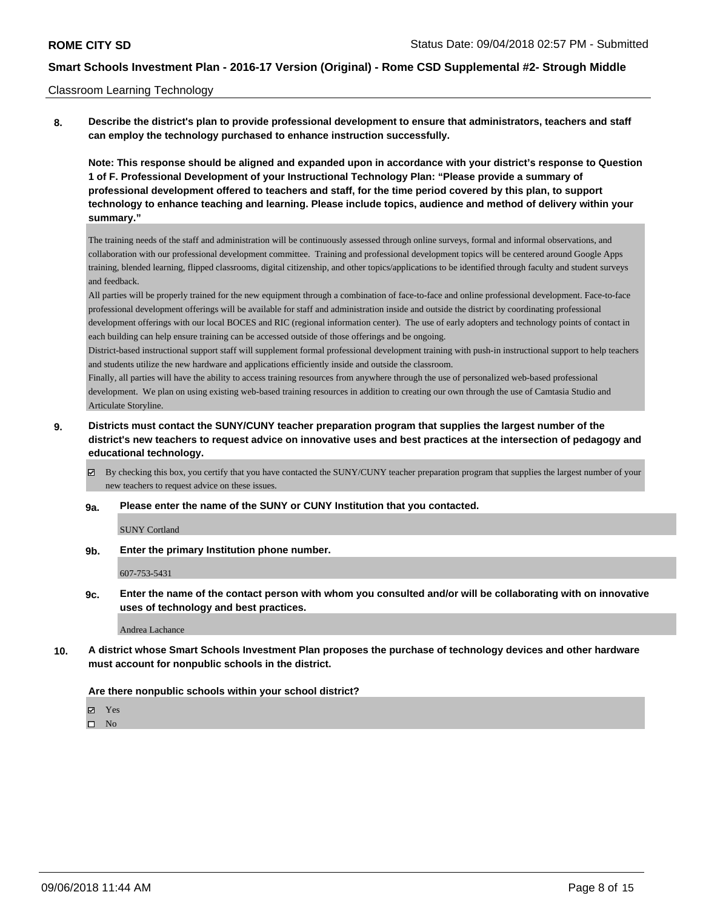#### Classroom Learning Technology

**8. Describe the district's plan to provide professional development to ensure that administrators, teachers and staff can employ the technology purchased to enhance instruction successfully.**

**Note: This response should be aligned and expanded upon in accordance with your district's response to Question 1 of F. Professional Development of your Instructional Technology Plan: "Please provide a summary of professional development offered to teachers and staff, for the time period covered by this plan, to support technology to enhance teaching and learning. Please include topics, audience and method of delivery within your summary."**

The training needs of the staff and administration will be continuously assessed through online surveys, formal and informal observations, and collaboration with our professional development committee. Training and professional development topics will be centered around Google Apps training, blended learning, flipped classrooms, digital citizenship, and other topics/applications to be identified through faculty and student surveys and feedback.

All parties will be properly trained for the new equipment through a combination of face-to-face and online professional development. Face-to-face professional development offerings will be available for staff and administration inside and outside the district by coordinating professional development offerings with our local BOCES and RIC (regional information center). The use of early adopters and technology points of contact in each building can help ensure training can be accessed outside of those offerings and be ongoing.

District-based instructional support staff will supplement formal professional development training with push-in instructional support to help teachers and students utilize the new hardware and applications efficiently inside and outside the classroom.

Finally, all parties will have the ability to access training resources from anywhere through the use of personalized web-based professional development. We plan on using existing web-based training resources in addition to creating our own through the use of Camtasia Studio and Articulate Storyline.

## **9. Districts must contact the SUNY/CUNY teacher preparation program that supplies the largest number of the district's new teachers to request advice on innovative uses and best practices at the intersection of pedagogy and educational technology.**

By checking this box, you certify that you have contacted the SUNY/CUNY teacher preparation program that supplies the largest number of your new teachers to request advice on these issues.

#### **9a. Please enter the name of the SUNY or CUNY Institution that you contacted.**

SUNY Cortland

**9b. Enter the primary Institution phone number.**

#### 607-753-5431

**9c. Enter the name of the contact person with whom you consulted and/or will be collaborating with on innovative uses of technology and best practices.**

Andrea Lachance

**10. A district whose Smart Schools Investment Plan proposes the purchase of technology devices and other hardware must account for nonpublic schools in the district.**

#### **Are there nonpublic schools within your school district?**

Yes

 $\hfill \square$  No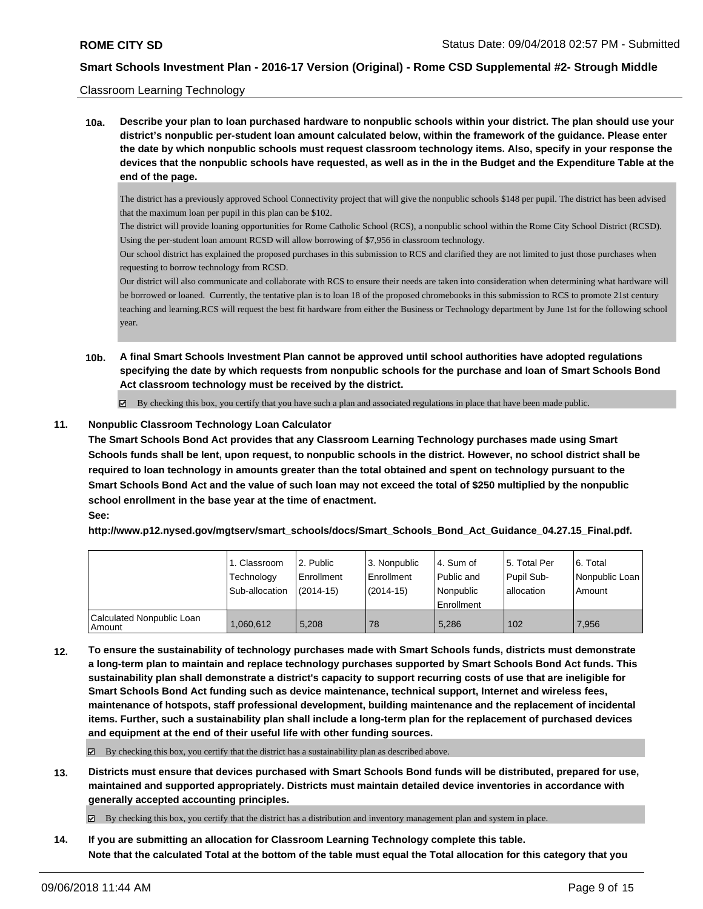#### Classroom Learning Technology

**10a. Describe your plan to loan purchased hardware to nonpublic schools within your district. The plan should use your district's nonpublic per-student loan amount calculated below, within the framework of the guidance. Please enter the date by which nonpublic schools must request classroom technology items. Also, specify in your response the devices that the nonpublic schools have requested, as well as in the in the Budget and the Expenditure Table at the end of the page.**

The district has a previously approved School Connectivity project that will give the nonpublic schools \$148 per pupil. The district has been advised that the maximum loan per pupil in this plan can be \$102.

The district will provide loaning opportunities for Rome Catholic School (RCS), a nonpublic school within the Rome City School District (RCSD). Using the per-student loan amount RCSD will allow borrowing of \$7,956 in classroom technology.

Our school district has explained the proposed purchases in this submission to RCS and clarified they are not limited to just those purchases when requesting to borrow technology from RCSD.

Our district will also communicate and collaborate with RCS to ensure their needs are taken into consideration when determining what hardware will be borrowed or loaned. Currently, the tentative plan is to loan 18 of the proposed chromebooks in this submission to RCS to promote 21st century teaching and learning.RCS will request the best fit hardware from either the Business or Technology department by June 1st for the following school year.

**10b. A final Smart Schools Investment Plan cannot be approved until school authorities have adopted regulations specifying the date by which requests from nonpublic schools for the purchase and loan of Smart Schools Bond Act classroom technology must be received by the district.**

 $\boxtimes$  By checking this box, you certify that you have such a plan and associated regulations in place that have been made public.

#### **11. Nonpublic Classroom Technology Loan Calculator**

**The Smart Schools Bond Act provides that any Classroom Learning Technology purchases made using Smart Schools funds shall be lent, upon request, to nonpublic schools in the district. However, no school district shall be required to loan technology in amounts greater than the total obtained and spent on technology pursuant to the Smart Schools Bond Act and the value of such loan may not exceed the total of \$250 multiplied by the nonpublic school enrollment in the base year at the time of enactment. See:**

**http://www.p12.nysed.gov/mgtserv/smart\_schools/docs/Smart\_Schools\_Bond\_Act\_Guidance\_04.27.15\_Final.pdf.**

|                                     | 1. Classroom<br>Technology<br>Sub-allocation | l 2. Public<br>l Enrollment<br>(2014-15) | 3. Nonpublic<br>Enrollment<br>(2014-15) | l 4. Sum of<br>Public and<br>l Nonpublic<br>Enrollment | 15. Total Per<br>Pupil Sub-<br>l allocation | 6. Total<br>Nonpublic Loan  <br>Amount |
|-------------------------------------|----------------------------------------------|------------------------------------------|-----------------------------------------|--------------------------------------------------------|---------------------------------------------|----------------------------------------|
| Calculated Nonpublic Loan<br>Amount | 1,060,612                                    | 5.208                                    | 78                                      | 5.286                                                  | 102                                         | 7.956                                  |

**12. To ensure the sustainability of technology purchases made with Smart Schools funds, districts must demonstrate a long-term plan to maintain and replace technology purchases supported by Smart Schools Bond Act funds. This sustainability plan shall demonstrate a district's capacity to support recurring costs of use that are ineligible for Smart Schools Bond Act funding such as device maintenance, technical support, Internet and wireless fees, maintenance of hotspots, staff professional development, building maintenance and the replacement of incidental items. Further, such a sustainability plan shall include a long-term plan for the replacement of purchased devices and equipment at the end of their useful life with other funding sources.**

By checking this box, you certify that the district has a sustainability plan as described above.

**13. Districts must ensure that devices purchased with Smart Schools Bond funds will be distributed, prepared for use, maintained and supported appropriately. Districts must maintain detailed device inventories in accordance with generally accepted accounting principles.**

By checking this box, you certify that the district has a distribution and inventory management plan and system in place.

**14. If you are submitting an allocation for Classroom Learning Technology complete this table. Note that the calculated Total at the bottom of the table must equal the Total allocation for this category that you**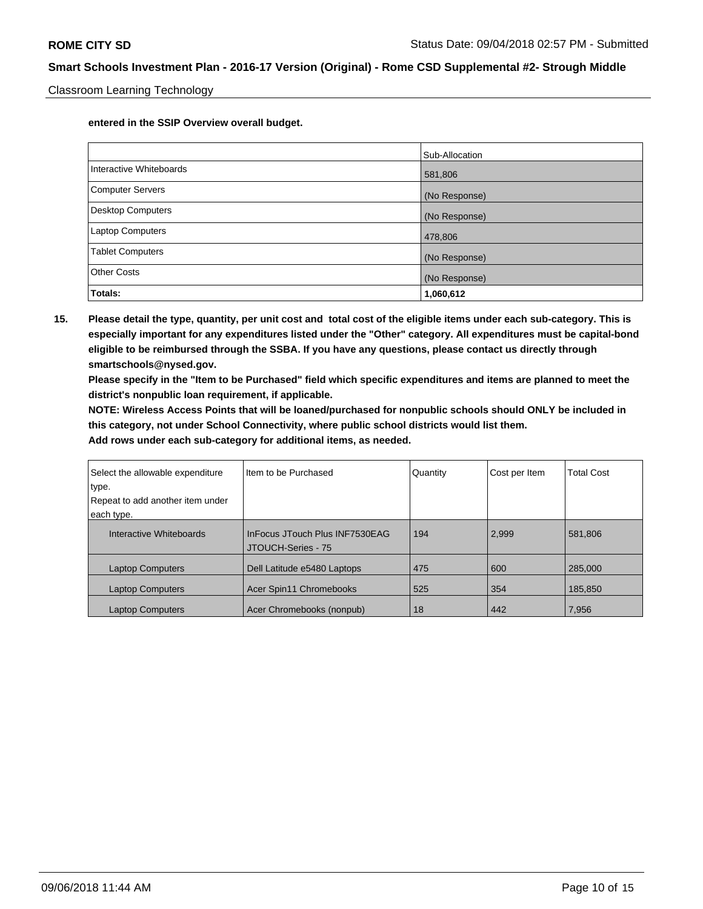Classroom Learning Technology

**entered in the SSIP Overview overall budget.**

|                          | Sub-Allocation |
|--------------------------|----------------|
| Interactive Whiteboards  | 581,806        |
| Computer Servers         | (No Response)  |
| <b>Desktop Computers</b> | (No Response)  |
| <b>Laptop Computers</b>  | 478,806        |
| <b>Tablet Computers</b>  | (No Response)  |
| <b>Other Costs</b>       | (No Response)  |
| Totals:                  | 1,060,612      |

**15. Please detail the type, quantity, per unit cost and total cost of the eligible items under each sub-category. This is especially important for any expenditures listed under the "Other" category. All expenditures must be capital-bond eligible to be reimbursed through the SSBA. If you have any questions, please contact us directly through smartschools@nysed.gov.**

**Please specify in the "Item to be Purchased" field which specific expenditures and items are planned to meet the district's nonpublic loan requirement, if applicable.**

**NOTE: Wireless Access Points that will be loaned/purchased for nonpublic schools should ONLY be included in this category, not under School Connectivity, where public school districts would list them.**

| Select the allowable expenditure<br>type.<br>Repeat to add another item under<br>each type. | Item to be Purchased                                 | Quantity | Cost per Item | <b>Total Cost</b> |
|---------------------------------------------------------------------------------------------|------------------------------------------------------|----------|---------------|-------------------|
| Interactive Whiteboards                                                                     | InFocus JTouch Plus INF7530EAG<br>JTOUCH-Series - 75 | 194      | 2.999         | 581.806           |
| <b>Laptop Computers</b>                                                                     | Dell Latitude e5480 Laptops                          | 475      | 600           | 285.000           |
| <b>Laptop Computers</b>                                                                     | Acer Spin11 Chromebooks                              | 525      | 354           | 185,850           |
| <b>Laptop Computers</b>                                                                     | Acer Chromebooks (nonpub)                            | 18       | 442           | 7,956             |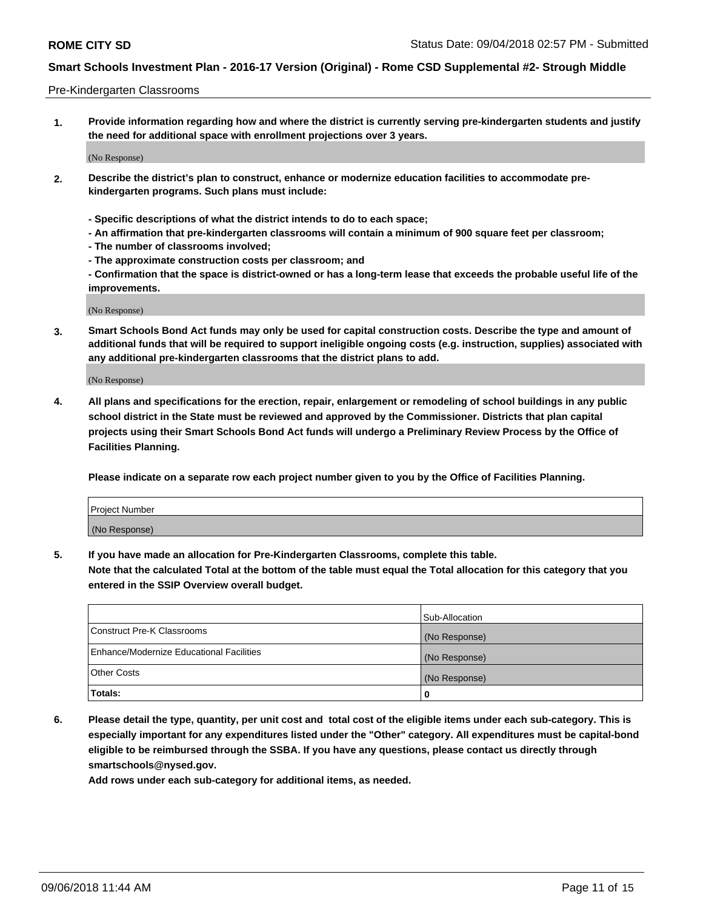#### Pre-Kindergarten Classrooms

**1. Provide information regarding how and where the district is currently serving pre-kindergarten students and justify the need for additional space with enrollment projections over 3 years.**

(No Response)

- **2. Describe the district's plan to construct, enhance or modernize education facilities to accommodate prekindergarten programs. Such plans must include:**
	- **Specific descriptions of what the district intends to do to each space;**
	- **An affirmation that pre-kindergarten classrooms will contain a minimum of 900 square feet per classroom;**
	- **The number of classrooms involved;**
	- **The approximate construction costs per classroom; and**
	- **Confirmation that the space is district-owned or has a long-term lease that exceeds the probable useful life of the improvements.**

(No Response)

**3. Smart Schools Bond Act funds may only be used for capital construction costs. Describe the type and amount of additional funds that will be required to support ineligible ongoing costs (e.g. instruction, supplies) associated with any additional pre-kindergarten classrooms that the district plans to add.**

(No Response)

**4. All plans and specifications for the erection, repair, enlargement or remodeling of school buildings in any public school district in the State must be reviewed and approved by the Commissioner. Districts that plan capital projects using their Smart Schools Bond Act funds will undergo a Preliminary Review Process by the Office of Facilities Planning.**

**Please indicate on a separate row each project number given to you by the Office of Facilities Planning.**

| Project Number |  |
|----------------|--|
| (No Response)  |  |
|                |  |

**5. If you have made an allocation for Pre-Kindergarten Classrooms, complete this table.**

**Note that the calculated Total at the bottom of the table must equal the Total allocation for this category that you entered in the SSIP Overview overall budget.**

|                                          | Sub-Allocation |
|------------------------------------------|----------------|
| Construct Pre-K Classrooms               | (No Response)  |
| Enhance/Modernize Educational Facilities | (No Response)  |
| <b>Other Costs</b>                       | (No Response)  |
| Totals:                                  | 0              |

**6. Please detail the type, quantity, per unit cost and total cost of the eligible items under each sub-category. This is especially important for any expenditures listed under the "Other" category. All expenditures must be capital-bond eligible to be reimbursed through the SSBA. If you have any questions, please contact us directly through smartschools@nysed.gov.**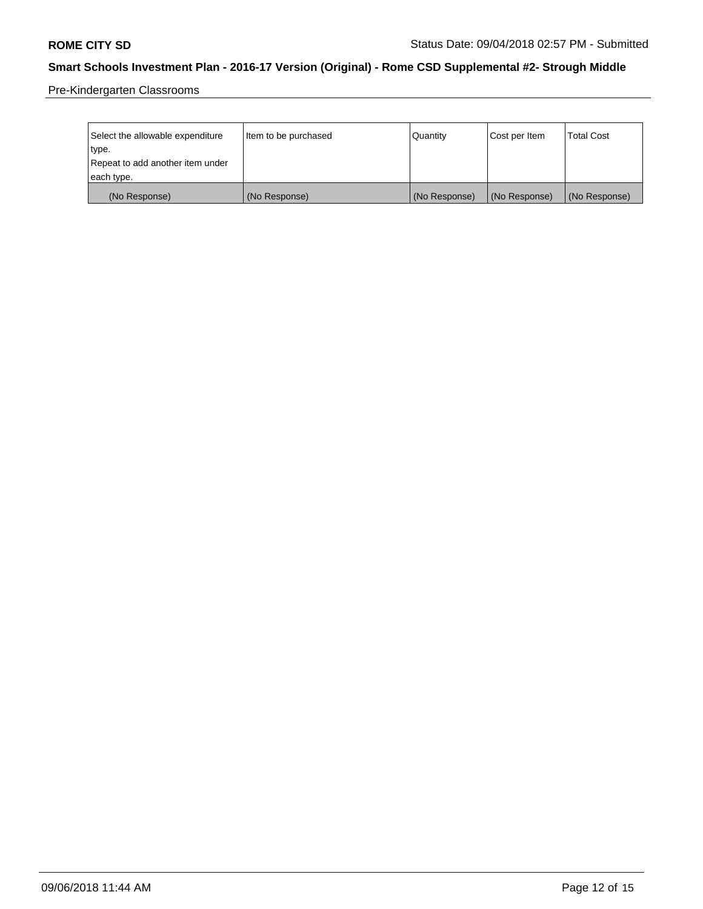Pre-Kindergarten Classrooms

| Select the allowable expenditure | Item to be purchased | Quantity      | Cost per Item | <b>Total Cost</b> |
|----------------------------------|----------------------|---------------|---------------|-------------------|
| type.                            |                      |               |               |                   |
| Repeat to add another item under |                      |               |               |                   |
| each type.                       |                      |               |               |                   |
| (No Response)                    | (No Response)        | (No Response) | (No Response) | (No Response)     |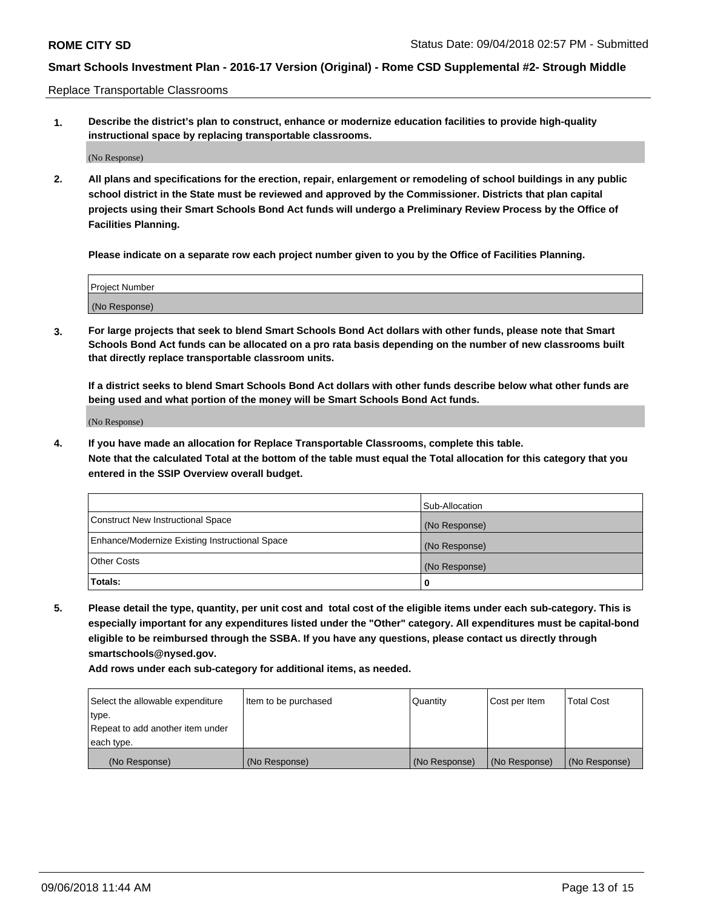Replace Transportable Classrooms

**1. Describe the district's plan to construct, enhance or modernize education facilities to provide high-quality instructional space by replacing transportable classrooms.**

(No Response)

**2. All plans and specifications for the erection, repair, enlargement or remodeling of school buildings in any public school district in the State must be reviewed and approved by the Commissioner. Districts that plan capital projects using their Smart Schools Bond Act funds will undergo a Preliminary Review Process by the Office of Facilities Planning.**

**Please indicate on a separate row each project number given to you by the Office of Facilities Planning.**

| Project Number |  |
|----------------|--|
|                |  |
|                |  |
|                |  |
|                |  |
| (No Response)  |  |
|                |  |
|                |  |
|                |  |

**3. For large projects that seek to blend Smart Schools Bond Act dollars with other funds, please note that Smart Schools Bond Act funds can be allocated on a pro rata basis depending on the number of new classrooms built that directly replace transportable classroom units.**

**If a district seeks to blend Smart Schools Bond Act dollars with other funds describe below what other funds are being used and what portion of the money will be Smart Schools Bond Act funds.**

(No Response)

**4. If you have made an allocation for Replace Transportable Classrooms, complete this table. Note that the calculated Total at the bottom of the table must equal the Total allocation for this category that you entered in the SSIP Overview overall budget.**

|                                                | Sub-Allocation |
|------------------------------------------------|----------------|
| Construct New Instructional Space              | (No Response)  |
| Enhance/Modernize Existing Instructional Space | (No Response)  |
| <b>Other Costs</b>                             | (No Response)  |
| Totals:                                        | 0              |

**5. Please detail the type, quantity, per unit cost and total cost of the eligible items under each sub-category. This is especially important for any expenditures listed under the "Other" category. All expenditures must be capital-bond eligible to be reimbursed through the SSBA. If you have any questions, please contact us directly through smartschools@nysed.gov.**

| Select the allowable expenditure | Item to be purchased | l Quantitv    | Cost per Item | <b>Total Cost</b> |
|----------------------------------|----------------------|---------------|---------------|-------------------|
| type.                            |                      |               |               |                   |
| Repeat to add another item under |                      |               |               |                   |
| each type.                       |                      |               |               |                   |
| (No Response)                    | (No Response)        | (No Response) | (No Response) | (No Response)     |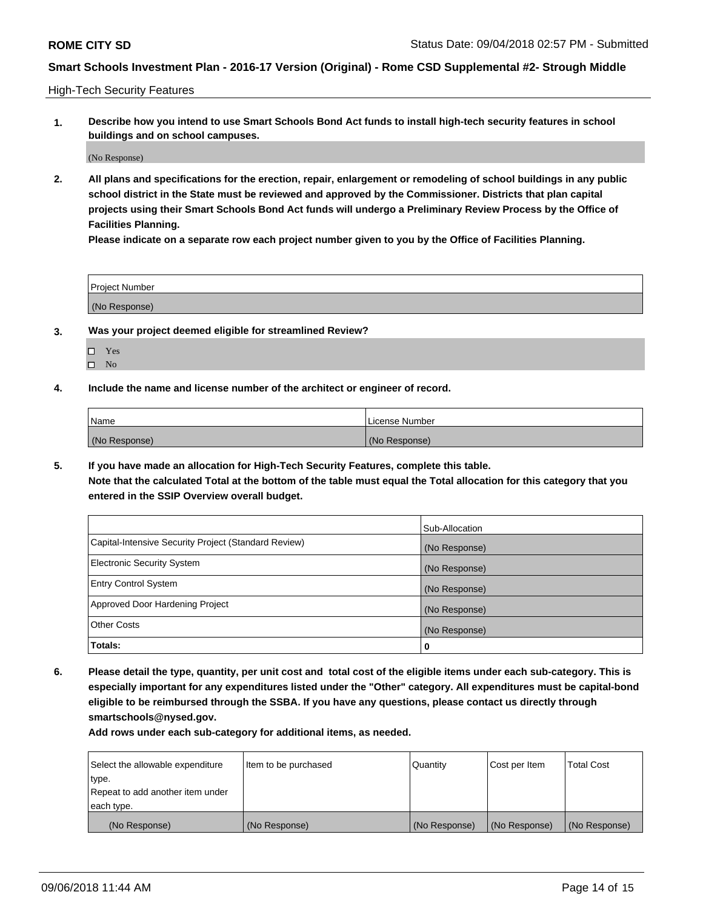High-Tech Security Features

**1. Describe how you intend to use Smart Schools Bond Act funds to install high-tech security features in school buildings and on school campuses.**

(No Response)

**2. All plans and specifications for the erection, repair, enlargement or remodeling of school buildings in any public school district in the State must be reviewed and approved by the Commissioner. Districts that plan capital projects using their Smart Schools Bond Act funds will undergo a Preliminary Review Process by the Office of Facilities Planning.** 

**Please indicate on a separate row each project number given to you by the Office of Facilities Planning.**

| <b>Project Number</b> |  |
|-----------------------|--|
| (No Response)         |  |

- **3. Was your project deemed eligible for streamlined Review?**
	- Yes
	- $\square$  No
- **4. Include the name and license number of the architect or engineer of record.**

| <b>Name</b>   | License Number |
|---------------|----------------|
| (No Response) | (No Response)  |

**5. If you have made an allocation for High-Tech Security Features, complete this table.**

**Note that the calculated Total at the bottom of the table must equal the Total allocation for this category that you entered in the SSIP Overview overall budget.**

|                                                      | Sub-Allocation |
|------------------------------------------------------|----------------|
| Capital-Intensive Security Project (Standard Review) | (No Response)  |
| <b>Electronic Security System</b>                    | (No Response)  |
| <b>Entry Control System</b>                          | (No Response)  |
| Approved Door Hardening Project                      | (No Response)  |
| <b>Other Costs</b>                                   | (No Response)  |
| Totals:                                              | 0              |

**6. Please detail the type, quantity, per unit cost and total cost of the eligible items under each sub-category. This is especially important for any expenditures listed under the "Other" category. All expenditures must be capital-bond eligible to be reimbursed through the SSBA. If you have any questions, please contact us directly through smartschools@nysed.gov.**

| Select the allowable expenditure | Item to be purchased | <b>Quantity</b> | Cost per Item | Total Cost    |
|----------------------------------|----------------------|-----------------|---------------|---------------|
| type.                            |                      |                 |               |               |
| Repeat to add another item under |                      |                 |               |               |
| each type.                       |                      |                 |               |               |
| (No Response)                    | (No Response)        | (No Response)   | (No Response) | (No Response) |